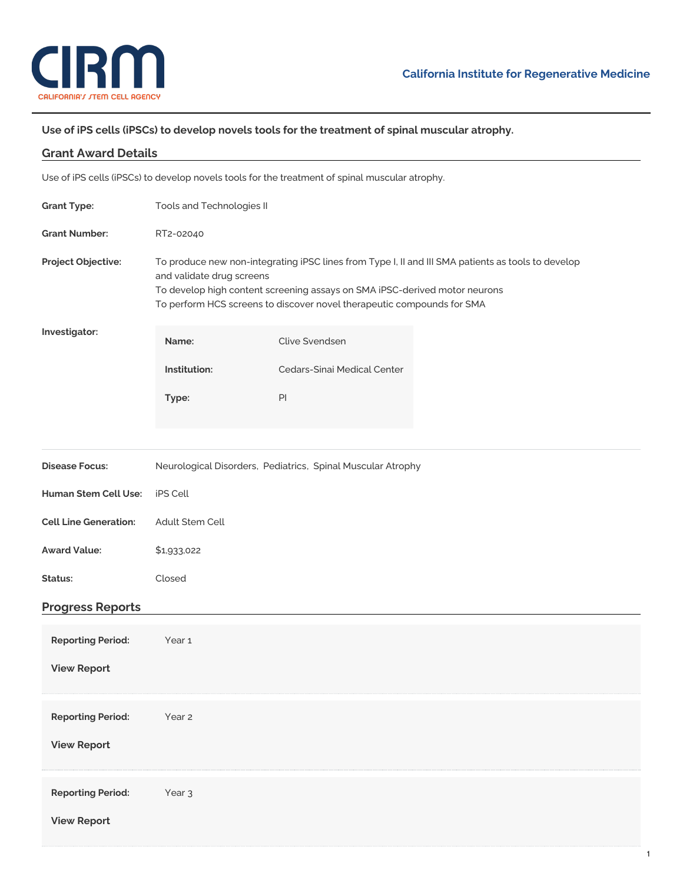

## **Use of iPS cells (iPSCs) to develop novels tools for the treatment of spinal muscular atrophy.**

| <b>Grant Award Details</b>                                                                     |                                                                                                                                                                                                                                                                                         |                             |  |  |
|------------------------------------------------------------------------------------------------|-----------------------------------------------------------------------------------------------------------------------------------------------------------------------------------------------------------------------------------------------------------------------------------------|-----------------------------|--|--|
| Use of iPS cells (iPSCs) to develop novels tools for the treatment of spinal muscular atrophy. |                                                                                                                                                                                                                                                                                         |                             |  |  |
| <b>Grant Type:</b>                                                                             | Tools and Technologies II                                                                                                                                                                                                                                                               |                             |  |  |
| <b>Grant Number:</b>                                                                           | RT2-02040                                                                                                                                                                                                                                                                               |                             |  |  |
| Project Objective:                                                                             | To produce new non-integrating iPSC lines from Type I, II and III SMA patients as tools to develop<br>and validate drug screens<br>To develop high content screening assays on SMA iPSC-derived motor neurons<br>To perform HCS screens to discover novel therapeutic compounds for SMA |                             |  |  |
| Investigator:                                                                                  | Name:                                                                                                                                                                                                                                                                                   | <b>Clive Svendsen</b>       |  |  |
|                                                                                                | Institution:                                                                                                                                                                                                                                                                            | Cedars-Sinai Medical Center |  |  |
|                                                                                                | Type:                                                                                                                                                                                                                                                                                   | PI                          |  |  |
|                                                                                                |                                                                                                                                                                                                                                                                                         |                             |  |  |
| <b>Disease Focus:</b>                                                                          | Neurological Disorders, Pediatrics, Spinal Muscular Atrophy                                                                                                                                                                                                                             |                             |  |  |
| Human Stem Cell Use:                                                                           | iPS Cell                                                                                                                                                                                                                                                                                |                             |  |  |
| <b>Cell Line Generation:</b>                                                                   | Adult Stem Cell                                                                                                                                                                                                                                                                         |                             |  |  |
| <b>Award Value:</b>                                                                            | \$1,933,022                                                                                                                                                                                                                                                                             |                             |  |  |
| Status:                                                                                        | Closed                                                                                                                                                                                                                                                                                  |                             |  |  |
| <b>Progress Reports</b>                                                                        |                                                                                                                                                                                                                                                                                         |                             |  |  |
| <b>Reporting Period:</b><br><b>View Report</b>                                                 | Year <sub>1</sub>                                                                                                                                                                                                                                                                       |                             |  |  |
|                                                                                                |                                                                                                                                                                                                                                                                                         |                             |  |  |
| <b>Reporting Period:</b>                                                                       | Year 2                                                                                                                                                                                                                                                                                  |                             |  |  |
| <b>View Report</b>                                                                             |                                                                                                                                                                                                                                                                                         |                             |  |  |
| <b>Reporting Period:</b>                                                                       | Year <sub>3</sub>                                                                                                                                                                                                                                                                       |                             |  |  |
| <b>View Report</b>                                                                             |                                                                                                                                                                                                                                                                                         |                             |  |  |